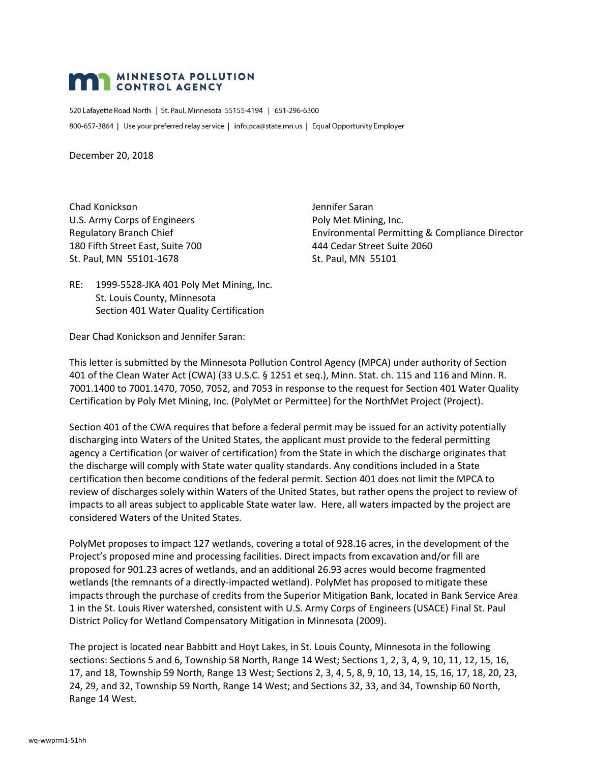# **MAN MINNESOTA POLLUTION**

520 Lafayette Road North | St. Paul, Minnesota 55155-4194 | 651-296-6300 800-657-3864 | Use your preferred relay service | info.pca@state.mn.us | Equal Opportunity Employer

December 20, 2018

Chad Konickson Jennifer Saran U.S. Army Corps of Engineers **Poly Met Mining, Inc.** Poly Met Mining, Inc. 180 Fifth Street East, Suite 700 444 Cedar Street Suite 2060 St. Paul, MN 55101-1678 St. Paul, MN 55101

Regulatory Branch Chief **Environmental Permitting & Compliance Director** 

RE: 1999-5528-JKA 401 Poly Met Mining, Inc. St. Louis County, Minnesota Section 401 Water Quality Certification

Dear Chad Konickson and Jennifer Saran:

This letter is submitted by the Minnesota Pollution Control Agency (MPCA) under authority of Section 401 of the Clean Water Act (CWA) (33 U.S.C. § 1251 et seq.), Minn. Stat. ch. 115 and 116 and Minn. R. 7001.1400 to 7001.1470, 7050, 7052, and 7053 in response to the request for Section 401 Water Quality Certification by Poly Met Mining, Inc. (PolyMet or Permittee) for the NorthMet Project (Project).

Section 401 of the CWA requires that before a federal permit may be issued for an activity potentially discharging into Waters of the United States, the applicant must provide to the federal permitting agency a Certification (or waiver of certification) from the State in which the discharge originates that the discharge will comply with State water quality standards. Any conditions included in a State certification then become conditions of the federal permit. Section 401 does not limit the MPCA to review of discharges solely within Waters of the United States, but rather opens the project to review of impacts to all areas subject to applicable State water law. Here, all waters impacted by the project are considered Waters of the United States.

PolyMet proposes to impact 127 wetlands, covering a total of 928.16 acres, in the development of the Project's proposed mine and processing facilities. Direct impacts from excavation and/or fill are proposed for 901.23 acres of wetlands, and an additional 26.93 acres would become fragmented wetlands (the remnants of a directly-impacted wetland). PolyMet has proposed to mitigate these impacts through the purchase of credits from the Superior Mitigation Bank, located in Bank Service Area 1 in the St. Louis River watershed, consistent with U.S. Army Corps of Engineers (USACE) Final St. Paul District Policy for Wetland Compensatory Mitigation in Minnesota (2009).

The project is located near Babbitt and Hoyt Lakes, in St. Louis County, Minnesota in the following sections: Sections 5 and 6, Township 58 North, Range 14 West; Sections 1, 2, 3, 4, 9, 10, 11, 12, 15, 16, 17, and 18, Township 59 North, Range 13 West; Sections 2, 3, 4, 5, 8, 9, 10, 13, 14, 15, 16, 17, 18, 20, 23, 24, 29, and 32, Township 59 North, Range 14 West; and Sections 32, 33, and 34, Township 60 North, Range 14 West.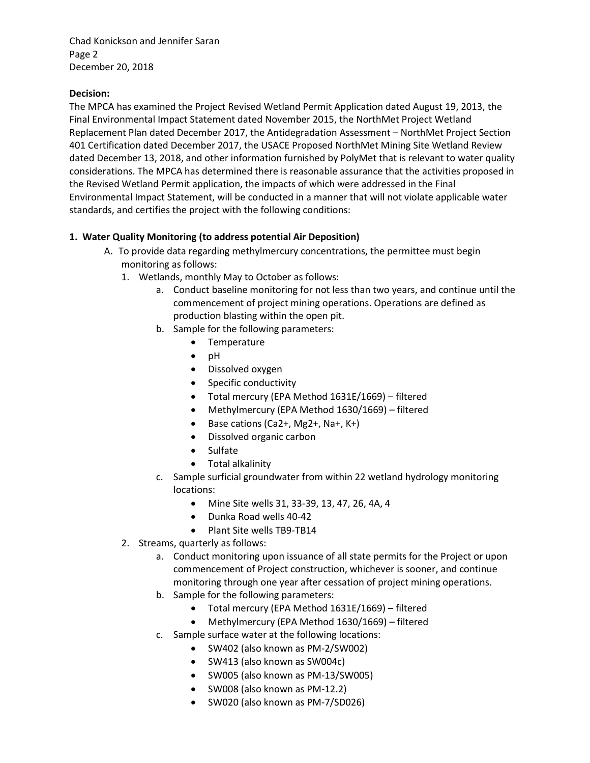Chad Konickson and Jennifer Saran Page 2 December 20, 2018

# **Decision:**

The MPCA has examined the Project Revised Wetland Permit Application dated August 19, 2013, the Final Environmental Impact Statement dated November 2015, the NorthMet Project Wetland Replacement Plan dated December 2017, the Antidegradation Assessment – NorthMet Project Section 401 Certification dated December 2017, the USACE Proposed NorthMet Mining Site Wetland Review dated December 13, 2018, and other information furnished by PolyMet that is relevant to water quality considerations. The MPCA has determined there is reasonable assurance that the activities proposed in the Revised Wetland Permit application, the impacts of which were addressed in the Final Environmental Impact Statement, will be conducted in a manner that will not violate applicable water standards, and certifies the project with the following conditions:

## **1. Water Quality Monitoring (to address potential Air Deposition)**

- A. To provide data regarding methylmercury concentrations, the permittee must begin monitoring as follows:
	- 1. Wetlands, monthly May to October as follows:
		- a. Conduct baseline monitoring for not less than two years, and continue until the commencement of project mining operations. Operations are defined as production blasting within the open pit.
		- b. Sample for the following parameters:
			- Temperature
			- $\bullet$  pH
			- Dissolved oxygen
			- Specific conductivity
			- Total mercury (EPA Method 1631E/1669) filtered
			- Methylmercury (EPA Method 1630/1669) filtered
			- $\bullet$  Base cations (Ca2+, Mg2+, Na+, K+)
			- Dissolved organic carbon
			- Sulfate
			- Total alkalinity
		- c. Sample surficial groundwater from within 22 wetland hydrology monitoring locations:
			- Mine Site wells 31, 33-39, 13, 47, 26, 4A, 4
			- Dunka Road wells 40-42
			- Plant Site wells TB9-TB14
	- 2. Streams, quarterly as follows:
		- a. Conduct monitoring upon issuance of all state permits for the Project or upon commencement of Project construction, whichever is sooner, and continue monitoring through one year after cessation of project mining operations.
		- b. Sample for the following parameters:
			- Total mercury (EPA Method 1631E/1669) filtered
			- Methylmercury (EPA Method 1630/1669) filtered
		- c. Sample surface water at the following locations:
			- SW402 (also known as PM-2/SW002)
			- SW413 (also known as SW004c)
			- SW005 (also known as PM-13/SW005)
			- SW008 (also known as PM-12.2)
			- SW020 (also known as PM-7/SD026)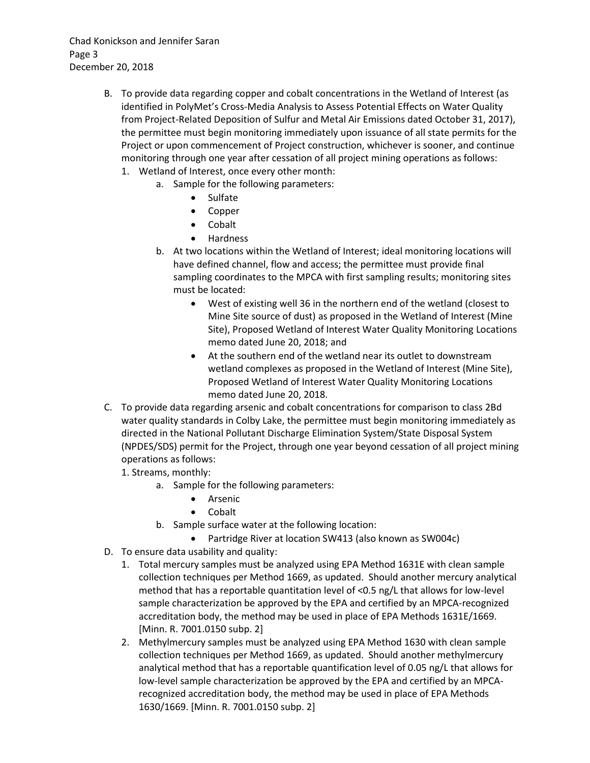Chad Konickson and Jennifer Saran Page 3 December 20, 2018

- B. To provide data regarding copper and cobalt concentrations in the Wetland of Interest (as identified in PolyMet's Cross-Media Analysis to Assess Potential Effects on Water Quality from Project-Related Deposition of Sulfur and Metal Air Emissions dated October 31, 2017), the permittee must begin monitoring immediately upon issuance of all state permits for the Project or upon commencement of Project construction, whichever is sooner, and continue monitoring through one year after cessation of all project mining operations as follows:
	- 1. Wetland of Interest, once every other month:
		- a. Sample for the following parameters:
			- Sulfate
			- Copper
			- Cobalt
			- Hardness
		- b. At two locations within the Wetland of Interest; ideal monitoring locations will have defined channel, flow and access; the permittee must provide final sampling coordinates to the MPCA with first sampling results; monitoring sites must be located:
			- West of existing well 36 in the northern end of the wetland (closest to Mine Site source of dust) as proposed in the Wetland of Interest (Mine Site), Proposed Wetland of Interest Water Quality Monitoring Locations memo dated June 20, 2018; and
			- At the southern end of the wetland near its outlet to downstream wetland complexes as proposed in the Wetland of Interest (Mine Site), Proposed Wetland of Interest Water Quality Monitoring Locations memo dated June 20, 2018.
- C. To provide data regarding arsenic and cobalt concentrations for comparison to class 2Bd water quality standards in Colby Lake, the permittee must begin monitoring immediately as directed in the National Pollutant Discharge Elimination System/State Disposal System (NPDES/SDS) permit for the Project, through one year beyond cessation of all project mining operations as follows:
	- 1. Streams, monthly:
		- a. Sample for the following parameters:
			- **•** Arsenic
			- Cobalt
		- b. Sample surface water at the following location:
			- Partridge River at location SW413 (also known as SW004c)
- D. To ensure data usability and quality:
	- 1. Total mercury samples must be analyzed using EPA Method 1631E with clean sample collection techniques per Method 1669, as updated. Should another mercury analytical method that has a reportable quantitation level of <0.5 ng/L that allows for low-level sample characterization be approved by the EPA and certified by an MPCA-recognized accreditation body, the method may be used in place of EPA Methods 1631E/1669. [Minn. R. 7001.0150 subp. 2]
	- 2. Methylmercury samples must be analyzed using EPA Method 1630 with clean sample collection techniques per Method 1669, as updated. Should another methylmercury analytical method that has a reportable quantification level of 0.05 ng/L that allows for low-level sample characterization be approved by the EPA and certified by an MPCArecognized accreditation body, the method may be used in place of EPA Methods 1630/1669. [Minn. R. 7001.0150 subp. 2]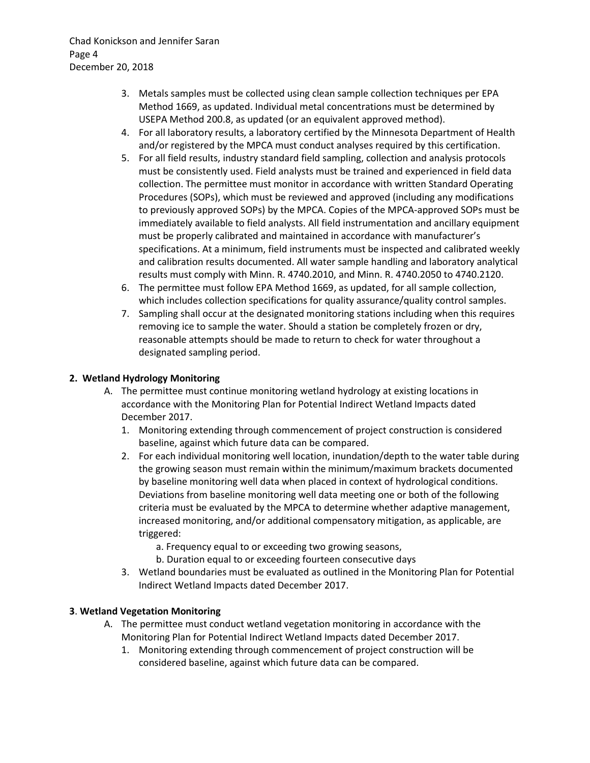Chad Konickson and Jennifer Saran Page 4 December 20, 2018

- 3. Metals samples must be collected using clean sample collection techniques per EPA Method 1669, as updated. Individual metal concentrations must be determined by USEPA Method 200.8, as updated (or an equivalent approved method).
- 4. For all laboratory results, a laboratory certified by the Minnesota Department of Health and/or registered by the MPCA must conduct analyses required by this certification.
- 5. For all field results, industry standard field sampling, collection and analysis protocols must be consistently used. Field analysts must be trained and experienced in field data collection. The permittee must monitor in accordance with written Standard Operating Procedures (SOPs), which must be reviewed and approved (including any modifications to previously approved SOPs) by the MPCA. Copies of the MPCA-approved SOPs must be immediately available to field analysts. All field instrumentation and ancillary equipment must be properly calibrated and maintained in accordance with manufacturer's specifications. At a minimum, field instruments must be inspected and calibrated weekly and calibration results documented. All water sample handling and laboratory analytical results must comply with Minn. R. 4740.2010, and Minn. R. 4740.2050 to 4740.2120.
- 6. The permittee must follow EPA Method 1669, as updated, for all sample collection, which includes collection specifications for quality assurance/quality control samples.
- 7. Sampling shall occur at the designated monitoring stations including when this requires removing ice to sample the water. Should a station be completely frozen or dry, reasonable attempts should be made to return to check for water throughout a designated sampling period.

# **2. Wetland Hydrology Monitoring**

- A. The permittee must continue monitoring wetland hydrology at existing locations in accordance with the Monitoring Plan for Potential Indirect Wetland Impacts dated December 2017.
	- 1. Monitoring extending through commencement of project construction is considered baseline, against which future data can be compared.
	- 2. For each individual monitoring well location, inundation/depth to the water table during the growing season must remain within the minimum/maximum brackets documented by baseline monitoring well data when placed in context of hydrological conditions. Deviations from baseline monitoring well data meeting one or both of the following criteria must be evaluated by the MPCA to determine whether adaptive management, increased monitoring, and/or additional compensatory mitigation, as applicable, are triggered:
		- a. Frequency equal to or exceeding two growing seasons,
		- b. Duration equal to or exceeding fourteen consecutive days
	- 3. Wetland boundaries must be evaluated as outlined in the Monitoring Plan for Potential Indirect Wetland Impacts dated December 2017.

### **3**. **Wetland Vegetation Monitoring**

- A. The permittee must conduct wetland vegetation monitoring in accordance with the Monitoring Plan for Potential Indirect Wetland Impacts dated December 2017.
	- 1. Monitoring extending through commencement of project construction will be considered baseline, against which future data can be compared.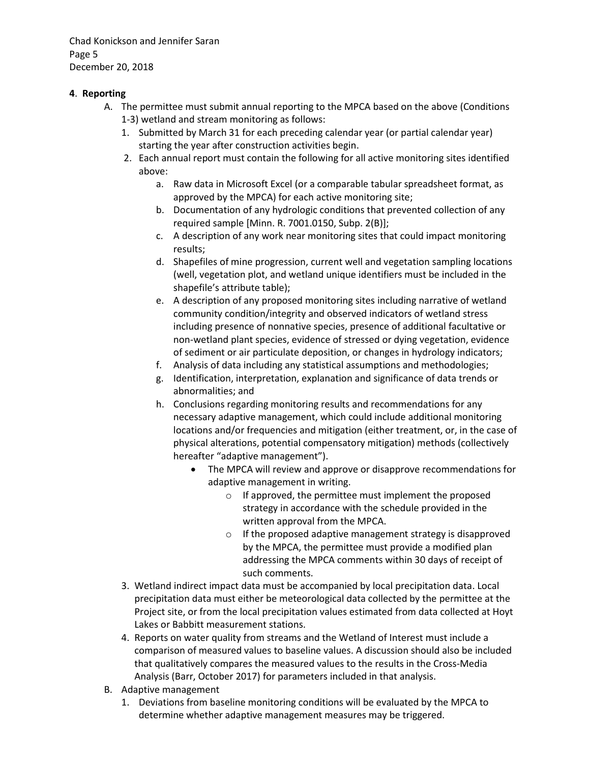Chad Konickson and Jennifer Saran Page 5 December 20, 2018

# **4**. **Reporting**

- A. The permittee must submit annual reporting to the MPCA based on the above (Conditions 1-3) wetland and stream monitoring as follows:
	- 1. Submitted by March 31 for each preceding calendar year (or partial calendar year) starting the year after construction activities begin.
	- 2. Each annual report must contain the following for all active monitoring sites identified above:
		- a. Raw data in Microsoft Excel (or a comparable tabular spreadsheet format, as approved by the MPCA) for each active monitoring site;
		- b. Documentation of any hydrologic conditions that prevented collection of any required sample [Minn. R. 7001.0150, Subp. 2(B)];
		- c. A description of any work near monitoring sites that could impact monitoring results;
		- d. Shapefiles of mine progression, current well and vegetation sampling locations (well, vegetation plot, and wetland unique identifiers must be included in the shapefile's attribute table);
		- e. A description of any proposed monitoring sites including narrative of wetland community condition/integrity and observed indicators of wetland stress including presence of nonnative species, presence of additional facultative or non-wetland plant species, evidence of stressed or dying vegetation, evidence of sediment or air particulate deposition, or changes in hydrology indicators;
		- f. Analysis of data including any statistical assumptions and methodologies;
		- g. Identification, interpretation, explanation and significance of data trends or abnormalities; and
		- h. Conclusions regarding monitoring results and recommendations for any necessary adaptive management, which could include additional monitoring locations and/or frequencies and mitigation (either treatment, or, in the case of physical alterations, potential compensatory mitigation) methods (collectively hereafter "adaptive management").
			- The MPCA will review and approve or disapprove recommendations for adaptive management in writing.
				- o If approved, the permittee must implement the proposed strategy in accordance with the schedule provided in the written approval from the MPCA.
				- o If the proposed adaptive management strategy is disapproved by the MPCA, the permittee must provide a modified plan addressing the MPCA comments within 30 days of receipt of such comments.
	- 3. Wetland indirect impact data must be accompanied by local precipitation data. Local precipitation data must either be meteorological data collected by the permittee at the Project site, or from the local precipitation values estimated from data collected at Hoyt Lakes or Babbitt measurement stations.
	- 4. Reports on water quality from streams and the Wetland of Interest must include a comparison of measured values to baseline values. A discussion should also be included that qualitatively compares the measured values to the results in the Cross-Media Analysis (Barr, October 2017) for parameters included in that analysis.
- B. Adaptive management
	- 1. Deviations from baseline monitoring conditions will be evaluated by the MPCA to determine whether adaptive management measures may be triggered.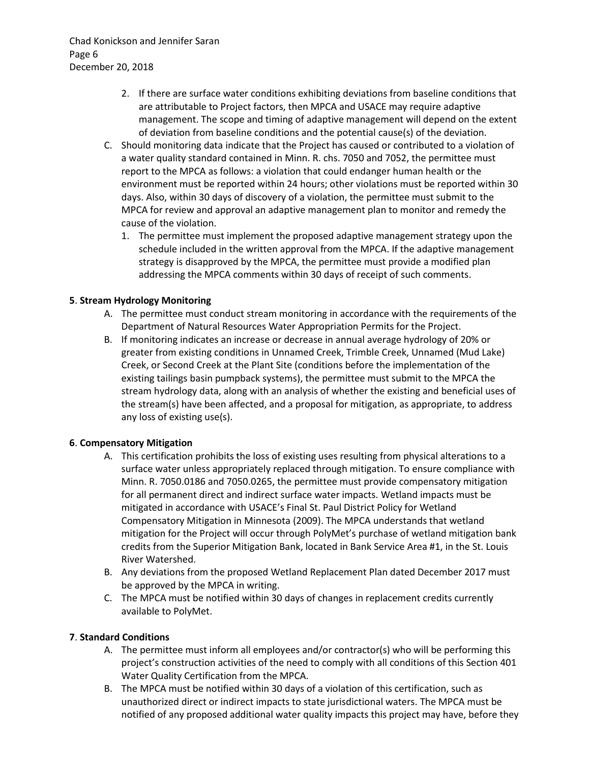Chad Konickson and Jennifer Saran Page 6 December 20, 2018

- 2. If there are surface water conditions exhibiting deviations from baseline conditions that are attributable to Project factors, then MPCA and USACE may require adaptive management. The scope and timing of adaptive management will depend on the extent of deviation from baseline conditions and the potential cause(s) of the deviation.
- C. Should monitoring data indicate that the Project has caused or contributed to a violation of a water quality standard contained in Minn. R. chs. 7050 and 7052, the permittee must report to the MPCA as follows: a violation that could endanger human health or the environment must be reported within 24 hours; other violations must be reported within 30 days. Also, within 30 days of discovery of a violation, the permittee must submit to the MPCA for review and approval an adaptive management plan to monitor and remedy the cause of the violation.
	- 1. The permittee must implement the proposed adaptive management strategy upon the schedule included in the written approval from the MPCA. If the adaptive management strategy is disapproved by the MPCA, the permittee must provide a modified plan addressing the MPCA comments within 30 days of receipt of such comments.

### **5**. **Stream Hydrology Monitoring**

- A. The permittee must conduct stream monitoring in accordance with the requirements of the Department of Natural Resources Water Appropriation Permits for the Project.
- B. If monitoring indicates an increase or decrease in annual average hydrology of 20% or greater from existing conditions in Unnamed Creek, Trimble Creek, Unnamed (Mud Lake) Creek, or Second Creek at the Plant Site (conditions before the implementation of the existing tailings basin pumpback systems), the permittee must submit to the MPCA the stream hydrology data, along with an analysis of whether the existing and beneficial uses of the stream(s) have been affected, and a proposal for mitigation, as appropriate, to address any loss of existing use(s).

### **6**. **Compensatory Mitigation**

- A. This certification prohibits the loss of existing uses resulting from physical alterations to a surface water unless appropriately replaced through mitigation. To ensure compliance with Minn. R. 7050.0186 and 7050.0265, the permittee must provide compensatory mitigation for all permanent direct and indirect surface water impacts. Wetland impacts must be mitigated in accordance with USACE's Final St. Paul District Policy for Wetland Compensatory Mitigation in Minnesota (2009). The MPCA understands that wetland mitigation for the Project will occur through PolyMet's purchase of wetland mitigation bank credits from the Superior Mitigation Bank, located in Bank Service Area #1, in the St. Louis River Watershed.
- B. Any deviations from the proposed Wetland Replacement Plan dated December 2017 must be approved by the MPCA in writing.
- C. The MPCA must be notified within 30 days of changes in replacement credits currently available to PolyMet.

### **7**. **Standard Conditions**

- A. The permittee must inform all employees and/or contractor(s) who will be performing this project's construction activities of the need to comply with all conditions of this Section 401 Water Quality Certification from the MPCA.
- B. The MPCA must be notified within 30 days of a violation of this certification, such as unauthorized direct or indirect impacts to state jurisdictional waters. The MPCA must be notified of any proposed additional water quality impacts this project may have, before they